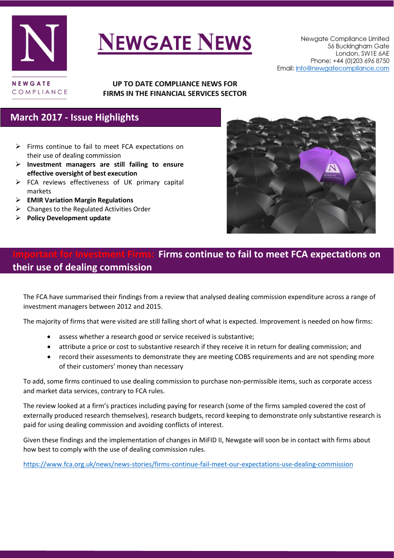

# **NEWGATE NEWS**

#### UP TO DATE COMPLIANCE NEWS FOR FIRMS IN THE FINANCIAL SERVICES SECTOR

#### **March 2017 - Issue Highlights**

- $\triangleright$  Firms continue to fail to meet FCA expectations on their use of dealing commission
- **Investment managers are still failing to ensure effective oversight of best execution**
- $\triangleright$  FCA reviews effectiveness of UK primary capital markets
- **EMIR Variation Margin Regulations**
- $\triangleright$  Changes to the Regulated Activities Order
- **Policy Development update**



### **Firms continue to fail to meet FCA expectations on their use of dealing commission**

The FCA have summarised their findings from a review that analysed dealing commission expenditure across a range of investment managers between 2012 and 2015.

The majority of firms that were visited are still falling short of what is expected. Improvement is needed on how firms:

- assess whether a research good or service received is substantive;
- attribute a price or cost to substantive research if they receive it in return for dealing commission; and
- record their assessments to demonstrate they are meeting COBS requirements and are not spending more of their customers' money than necessary

To add, some firms continued to use dealing commission to purchase non-permissible items, such as corporate access and market data services, contrary to FCA rules.

The review looked at a firm's practices including paying for research (some of the firms sampled covered the cost of externally produced research themselves), research budgets, record keeping to demonstrate only substantive research is paid for using dealing commission and avoiding conflicts of interest.

Given these findings and the implementation of changes in MiFID II, Newgate will soon be in contact with firms about how best to comply with the use of dealing commission rules.

<https://www.fca.org.uk/news/news-stories/firms-continue-fail-meet-our-expectations-use-dealing-commission>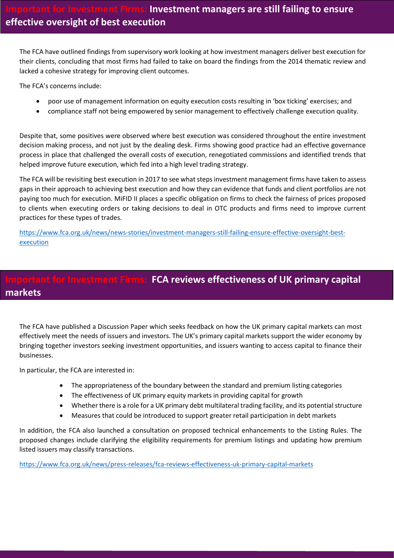The FCA have outlined findings from supervisory work looking at how investment managers deliver best execution for their clients, concluding that most firms had failed to take on board the findings from the 2014 thematic review and lacked a cohesive strategy for improving client outcomes.

The FCA's concerns include:

- poor use of management information on equity execution costs resulting in 'box ticking' exercises; and
- compliance staff not being empowered by senior management to effectively challenge execution quality.

Despite that, some positives were observed where best execution was considered throughout the entire investment decision making process, and not just by the dealing desk. Firms showing good practice had an effective governance process in place that challenged the overall costs of execution, renegotiated commissions and identified trends that helped improve future execution, which fed into a high level trading strategy.

The FCA will be revisiting best execution in 2017 to see what steps investment management firms have taken to assess gaps in their approach to achieving best execution and how they can evidence that funds and client portfolios are not paying too much for execution. MiFID II places a specific obligation on firms to check the fairness of prices proposed to clients when executing orders or taking decisions to deal in OTC products and firms need to improve current practices for these types of trades.

[https://www.fca.org.uk/news/news-stories/investment-managers-still-failing-ensure-effective-oversight-best](https://www.fca.org.uk/news/news-stories/investment-managers-still-failing-ensure-effective-oversight-best-execution)[execution](https://www.fca.org.uk/news/news-stories/investment-managers-still-failing-ensure-effective-oversight-best-execution)

# **ant for Investment Firms: FCA reviews effectiveness of UK primary capital markets**

The FCA have published a Discussion Paper which seeks feedback on how the UK primary capital markets can most effectively meet the needs of issuers and investors. The UK's primary capital markets support the wider economy by bringing together investors seeking investment opportunities, and issuers wanting to access capital to finance their businesses.

In particular, the FCA are interested in:

- The appropriateness of the boundary between the standard and premium listing categories
- The effectiveness of UK primary equity markets in providing capital for growth
- Whether there is a role for a UK primary debt multilateral trading facility, and its potential structure
- Measures that could be introduced to support greater retail participation in debt markets

In addition, the FCA also launched a consultation on proposed technical enhancements to the Listing Rules. The proposed changes include clarifying the eligibility requirements for premium listings and updating how premium listed issuers may classify transactions.

<https://www.fca.org.uk/news/press-releases/fca-reviews-effectiveness-uk-primary-capital-markets>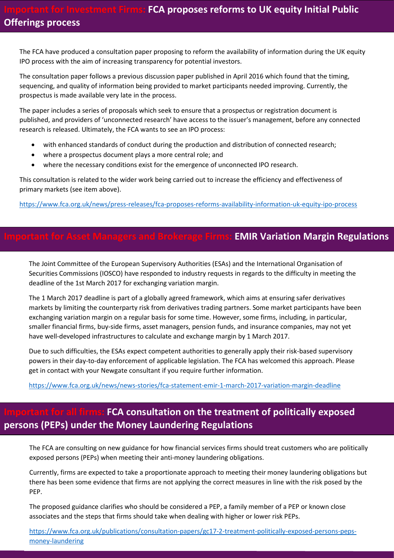The FCA have produced a consultation paper proposing to reform the availability of information during the UK equity IPO process with the aim of increasing transparency for potential investors.

The consultation paper follows a previous discussion paper published in April 2016 which found that the timing, sequencing, and quality of information being provided to market participants needed improving. Currently, the prospectus is made available very late in the process.

The paper includes a series of proposals which seek to ensure that a prospectus or registration document is published, and providers of 'unconnected research' have access to the issuer's management, before any connected research is released. Ultimately, the FCA wants to see an IPO process:

- with enhanced standards of conduct during the production and distribution of connected research;
- where a prospectus document plays a more central role; and
- where the necessary conditions exist for the emergence of unconnected IPO research.

This consultation is related to the wider work being carried out to increase the efficiency and effectiveness of primary markets (see item above).

<https://www.fca.org.uk/news/press-releases/fca-proposes-reforms-availability-information-uk-equity-ipo-process>

#### **Important for Asset Managers and Brokerage Firms: EMIR Variation Margin Regulations**

The Joint Committee of the European Supervisory Authorities (ESAs) and the International Organisation of Securities Commissions (IOSCO) have responded to industry requests in regards to the difficulty in meeting the deadline of the 1st March 2017 for exchanging variation margin.

The 1 March 2017 deadline is part of a globally agreed framework, which aims at ensuring safer derivatives markets by limiting the counterparty risk from derivatives trading partners. Some market participants have been exchanging variation margin on a regular basis for some time. However, some firms, including, in particular, smaller financial firms, buy-side firms, asset managers, pension funds, and insurance companies, may not yet have well-developed infrastructures to calculate and exchange margin by 1 March 2017.

Due to such difficulties, the ESAs expect competent authorities to generally apply their risk-based supervisory powers in their day-to-day enforcement of applicable legislation. The FCA has welcomed this approach. Please get in contact with your Newgate consultant if you require further information.

<https://www.fca.org.uk/news/news-stories/fca-statement-emir-1-march-2017-variation-margin-deadline>

## **FCA consultation on the treatment of politically exposed persons (PEPs) under the Money Laundering Regulations**

The FCA are consulting on new guidance for how financial services firms should treat customers who are politically exposed persons (PEPs) when meeting their anti-money laundering obligations.

Currently, firms are expected to take a proportionate approach to meeting their money laundering obligations but there has been some evidence that firms are not applying the correct measures in line with the risk posed by the PEP.

The proposed guidance clarifies who should be considered a PEP, a family member of a PEP or known close associates and the steps that firms should take when dealing with higher or lower risk PEPs.

[https://www.fca.org.uk/publications/consultation-papers/gc17-2-treatment-politically-exposed-persons-peps](https://www.fca.org.uk/publications/consultation-papers/gc17-2-treatment-politically-exposed-persons-peps-money-laundering)[money-laundering](https://www.fca.org.uk/publications/consultation-papers/gc17-2-treatment-politically-exposed-persons-peps-money-laundering)